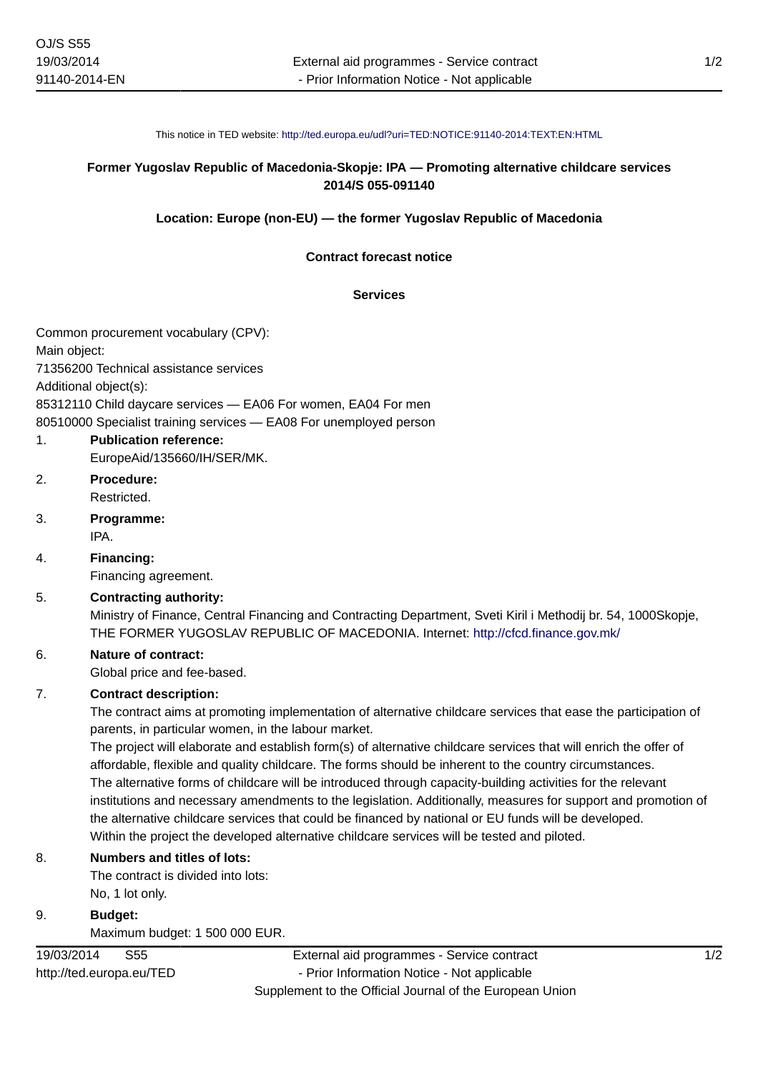# **Former Yugoslav Republic of Macedonia-Skopje: IPA — Promoting alternative childcare services 2014/S 055-091140**

#### **Location: Europe (non-EU) — the former Yugoslav Republic of Macedonia**

#### **Contract forecast notice**

#### **Services**

Common procurement vocabulary (CPV):

Main object:

71356200 Technical assistance services

Additional object(s):

85312110 Child daycare services — EA06 For women, EA04 For men

80510000 Specialist training services — EA08 For unemployed person

## 1. **Publication reference:**

EuropeAid/135660/IH/SER/MK.

- 2. **Procedure:** Restricted.
- 3. **Programme:** IPA.

4. **Financing:** Financing agreement.

## 5. **Contracting authority:**

Ministry of Finance, Central Financing and Contracting Department, Sveti Kiril i Methodij br. 54, 1000Skopje, THE FORMER YUGOSLAV REPUBLIC OF MACEDONIA. Internet: <http://cfcd.finance.gov.mk/>

### 6. **Nature of contract:**

Global price and fee-based.

### 7. **Contract description:**

The contract aims at promoting implementation of alternative childcare services that ease the participation of parents, in particular women, in the labour market.

The project will elaborate and establish form(s) of alternative childcare services that will enrich the offer of affordable, flexible and quality childcare. The forms should be inherent to the country circumstances. The alternative forms of childcare will be introduced through capacity-building activities for the relevant institutions and necessary amendments to the legislation. Additionally, measures for support and promotion of the alternative childcare services that could be financed by national or EU funds will be developed. Within the project the developed alternative childcare services will be tested and piloted.

### 8. **Numbers and titles of lots:**

The contract is divided into lots: No, 1 lot only.

9. **Budget:** Maximum budget: 1 500 000 EUR.

19/03/2014 S55 http://ted.europa.eu/TED

External aid programmes - Service contract - Prior Information Notice - Not applicable Supplement to the Official Journal of the European Union